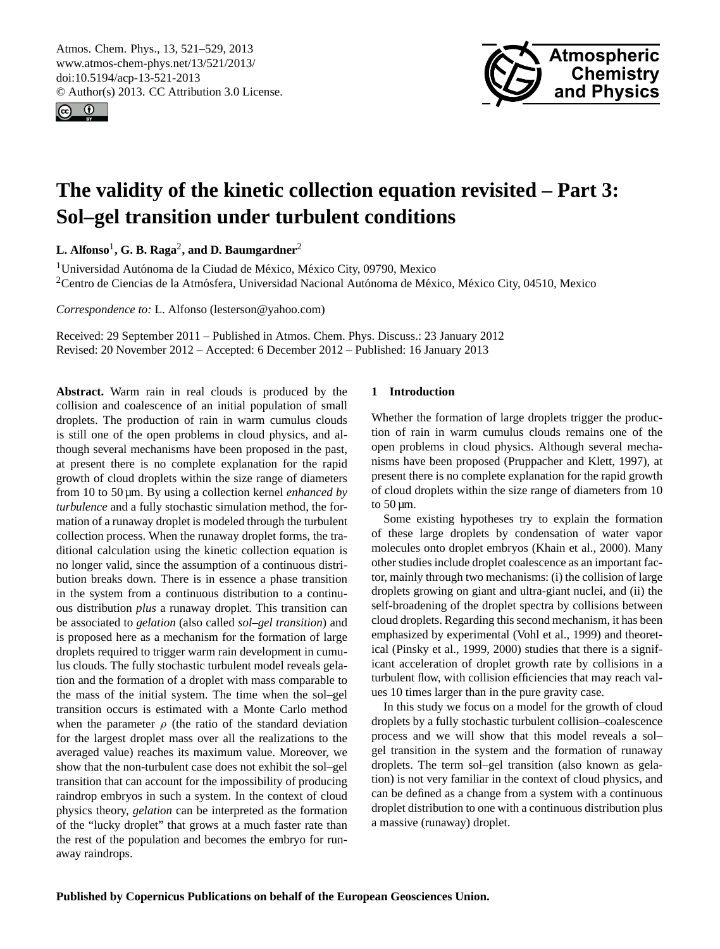<span id="page-0-0"></span>Atmos. Chem. Phys., 13, 521–529, 2013 www.atmos-chem-phys.net/13/521/2013/ doi:10.5194/acp-13-521-2013 © Author(s) 2013. CC Attribution 3.0 License.





# **The validity of the kinetic collection equation revisited – Part 3: Sol–gel transition under turbulent conditions**

**L. Alfonso**<sup>1</sup> **, G. B. Raga**<sup>2</sup> **, and D. Baumgardner**<sup>2</sup>

<sup>1</sup> Universidad Autónoma de la Ciudad de México, México City, 09790, Mexico <sup>2</sup>Centro de Ciencias de la Atmósfera, Universidad Nacional Autónoma de México, México City, 04510, Mexico

*Correspondence to:* L. Alfonso (lesterson@yahoo.com)

Received: 29 September 2011 – Published in Atmos. Chem. Phys. Discuss.: 23 January 2012 Revised: 20 November 2012 – Accepted: 6 December 2012 – Published: 16 January 2013

**Abstract.** Warm rain in real clouds is produced by the collision and coalescence of an initial population of small droplets. The production of rain in warm cumulus clouds is still one of the open problems in cloud physics, and although several mechanisms have been proposed in the past, at present there is no complete explanation for the rapid growth of cloud droplets within the size range of diameters from 10 to 50 µm. By using a collection kernel *enhanced by turbulence* and a fully stochastic simulation method, the formation of a runaway droplet is modeled through the turbulent collection process. When the runaway droplet forms, the traditional calculation using the kinetic collection equation is no longer valid, since the assumption of a continuous distribution breaks down. There is in essence a phase transition in the system from a continuous distribution to a continuous distribution *plus* a runaway droplet. This transition can be associated to *gelation* (also called *sol–gel transition*) and is proposed here as a mechanism for the formation of large droplets required to trigger warm rain development in cumulus clouds. The fully stochastic turbulent model reveals gelation and the formation of a droplet with mass comparable to the mass of the initial system. The time when the sol–gel transition occurs is estimated with a Monte Carlo method when the parameter  $\rho$  (the ratio of the standard deviation for the largest droplet mass over all the realizations to the averaged value) reaches its maximum value. Moreover, we show that the non-turbulent case does not exhibit the sol–gel transition that can account for the impossibility of producing raindrop embryos in such a system. In the context of cloud physics theory, *gelation* can be interpreted as the formation of the "lucky droplet" that grows at a much faster rate than the rest of the population and becomes the embryo for runaway raindrops.

# **1 Introduction**

Whether the formation of large droplets trigger the production of rain in warm cumulus clouds remains one of the open problems in cloud physics. Although several mechanisms have been proposed (Pruppacher and Klett, 1997), at present there is no complete explanation for the rapid growth of cloud droplets within the size range of diameters from 10 to  $50 \mu m$ .

Some existing hypotheses try to explain the formation of these large droplets by condensation of water vapor molecules onto droplet embryos (Khain et al., 2000). Many other studies include droplet coalescence as an important factor, mainly through two mechanisms: (i) the collision of large droplets growing on giant and ultra-giant nuclei, and (ii) the self-broadening of the droplet spectra by collisions between cloud droplets. Regarding this second mechanism, it has been emphasized by experimental (Vohl et al., 1999) and theoretical (Pinsky et al., 1999, 2000) studies that there is a significant acceleration of droplet growth rate by collisions in a turbulent flow, with collision efficiencies that may reach values 10 times larger than in the pure gravity case.

In this study we focus on a model for the growth of cloud droplets by a fully stochastic turbulent collision–coalescence process and we will show that this model reveals a sol– gel transition in the system and the formation of runaway droplets. The term sol–gel transition (also known as gelation) is not very familiar in the context of cloud physics, and can be defined as a change from a system with a continuous droplet distribution to one with a continuous distribution plus a massive (runaway) droplet.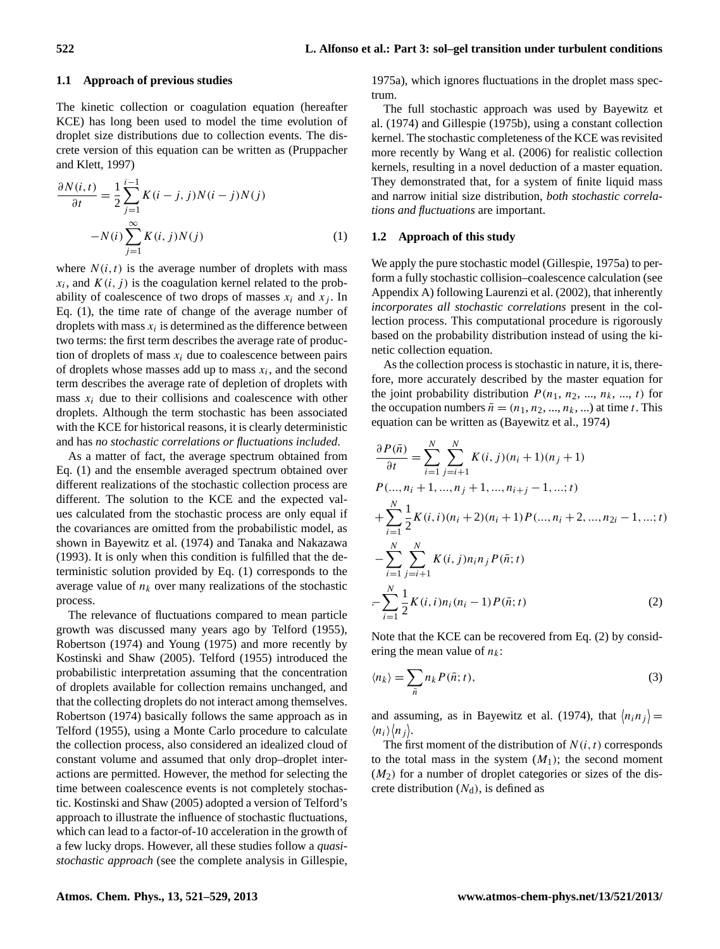### **1.1 Approach of previous studies**

The kinetic collection or coagulation equation (hereafter KCE) has long been used to model the time evolution of droplet size distributions due to collection events. The discrete version of this equation can be written as (Pruppacher and Klett, 1997)

$$
\frac{\partial N(i,t)}{\partial t} = \frac{1}{2} \sum_{j=1}^{i-1} K(i-j,j)N(i-j)N(j) - N(i) \sum_{j=1}^{\infty} K(i,j)N(j)
$$
\n(1)

where  $N(i, t)$  is the average number of droplets with mass  $x_i$ , and  $K(i, j)$  is the coagulation kernel related to the probability of coalescence of two drops of masses  $x_i$  and  $x_j$ . In Eq. (1), the time rate of change of the average number of droplets with mass  $x_i$  is determined as the difference between two terms: the first term describes the average rate of production of droplets of mass  $x_i$  due to coalescence between pairs of droplets whose masses add up to mass  $x_i$ , and the second term describes the average rate of depletion of droplets with mass  $x_i$  due to their collisions and coalescence with other droplets. Although the term stochastic has been associated with the KCE for historical reasons, it is clearly deterministic and has *no stochastic correlations or fluctuations included*.

As a matter of fact, the average spectrum obtained from Eq. (1) and the ensemble averaged spectrum obtained over different realizations of the stochastic collection process are different. The solution to the KCE and the expected values calculated from the stochastic process are only equal if the covariances are omitted from the probabilistic model, as shown in Bayewitz et al. (1974) and Tanaka and Nakazawa (1993). It is only when this condition is fulfilled that the deterministic solution provided by Eq. (1) corresponds to the average value of  $n_k$  over many realizations of the stochastic process.

The relevance of fluctuations compared to mean particle growth was discussed many years ago by Telford (1955), Robertson (1974) and Young (1975) and more recently by Kostinski and Shaw (2005). Telford (1955) introduced the probabilistic interpretation assuming that the concentration of droplets available for collection remains unchanged, and that the collecting droplets do not interact among themselves. Robertson (1974) basically follows the same approach as in Telford (1955), using a Monte Carlo procedure to calculate the collection process, also considered an idealized cloud of constant volume and assumed that only drop–droplet interactions are permitted. However, the method for selecting the time between coalescence events is not completely stochastic. Kostinski and Shaw (2005) adopted a version of Telford's approach to illustrate the influence of stochastic fluctuations, which can lead to a factor-of-10 acceleration in the growth of a few lucky drops. However, all these studies follow a *quasistochastic approach* (see the complete analysis in Gillespie,

1975a), which ignores fluctuations in the droplet mass spectrum.

The full stochastic approach was used by Bayewitz et al. (1974) and Gillespie (1975b), using a constant collection kernel. The stochastic completeness of the KCE was revisited more recently by Wang et al. (2006) for realistic collection kernels, resulting in a novel deduction of a master equation. They demonstrated that, for a system of finite liquid mass and narrow initial size distribution, *both stochastic correlations and fluctuations* are important.

## **1.2 Approach of this study**

We apply the pure stochastic model (Gillespie, 1975a) to perform a fully stochastic collision–coalescence calculation (see Appendix A) following Laurenzi et al. (2002), that inherently *incorporates all stochastic correlations* present in the collection process. This computational procedure is rigorously based on the probability distribution instead of using the kinetic collection equation.

As the collection process is stochastic in nature, it is, therefore, more accurately described by the master equation for the joint probability distribution  $P(n_1, n_2, ..., n_k, ..., t)$  for the occupation numbers  $\bar{n} = (n_1, n_2, ..., n_k, ...)$  at time t. This equation can be written as (Bayewitz et al., 1974)

$$
\frac{\partial P(\bar{n})}{\partial t} = \sum_{i=1}^{N} \sum_{j=i+1}^{N} K(i, j)(n_i + 1)(n_j + 1)
$$
  
\nP(..., n<sub>i</sub> + 1, ..., n<sub>j</sub> + 1, ..., n<sub>i+j</sub> - 1, ..., t)  
\n
$$
+ \sum_{i=1}^{N} \frac{1}{2} K(i, i)(n_i + 2)(n_i + 1) P(..., n_i + 2, ..., n_{2i} - 1, ..., t)
$$
  
\n
$$
- \sum_{i=1}^{N} \sum_{j=i+1}^{N} K(i, j)n_i n_j P(\bar{n}; t)
$$
  
\n
$$
- \sum_{i=1}^{N} \frac{1}{2} K(i, i)n_i (n_i - 1) P(\bar{n}; t)
$$
 (2)

Note that the KCE can be recovered from Eq. (2) by considering the mean value of  $n_k$ :

$$
\langle n_k \rangle = \sum_{\bar{n}} n_k P(\bar{n}; t), \tag{3}
$$

and assuming, as in Bayewitz et al. (1974), that  $\langle n_i n_j \rangle =$  $\langle n_i \rangle \langle n_j \rangle$ .

The first moment of the distribution of  $N(i, t)$  corresponds to the total mass in the system  $(M_1)$ ; the second moment  $(M<sub>2</sub>)$  for a number of droplet categories or sizes of the discrete distribution  $(N_d)$ , is defined as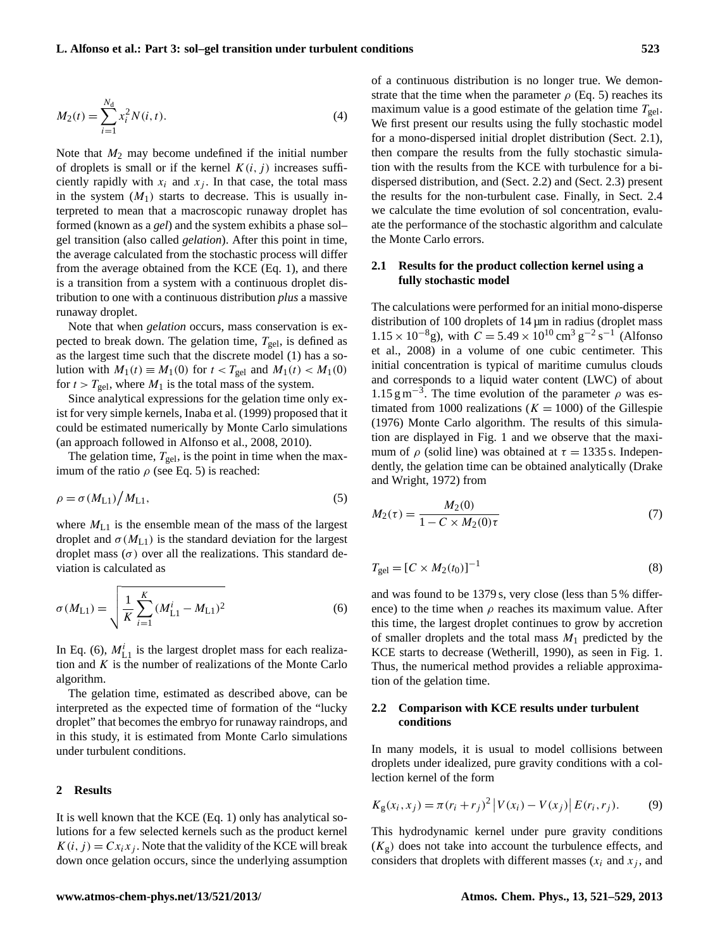$$
M_2(t) = \sum_{i=1}^{N_d} x_i^2 N(i, t).
$$
 (4)

Note that  $M_2$  may become undefined if the initial number of droplets is small or if the kernel  $K(i, j)$  increases sufficiently rapidly with  $x_i$  and  $x_j$ . In that case, the total mass in the system  $(M_1)$  starts to decrease. This is usually interpreted to mean that a macroscopic runaway droplet has formed (known as a *gel*) and the system exhibits a phase sol– gel transition (also called *gelation*). After this point in time, the average calculated from the stochastic process will differ from the average obtained from the KCE (Eq. 1), and there is a transition from a system with a continuous droplet distribution to one with a continuous distribution *plus* a massive runaway droplet.

Note that when *gelation* occurs, mass conservation is expected to break down. The gelation time,  $T_{gel}$ , is defined as as the largest time such that the discrete model (1) has a solution with  $M_1(t) \equiv M_1(0)$  for  $t < T_{gel}$  and  $M_1(t) < M_1(0)$ for  $t > T_{gel}$ , where  $M_1$  is the total mass of the system.

Since analytical expressions for the gelation time only exist for very simple kernels, Inaba et al. (1999) proposed that it could be estimated numerically by Monte Carlo simulations (an approach followed in Alfonso et al., 2008, 2010).

The gelation time,  $T_{gel}$ , is the point in time when the maximum of the ratio  $\rho$  (see Eq. 5) is reached:

$$
\rho = \sigma(M_{L1})/M_{L1},\tag{5}
$$

where  $M_{L1}$  is the ensemble mean of the mass of the largest droplet and  $\sigma(M_{L1})$  is the standard deviation for the largest droplet mass  $(\sigma)$  over all the realizations. This standard deviation is calculated as

$$
\sigma(M_{\text{L1}}) = \sqrt{\frac{1}{K} \sum_{i=1}^{K} (M_{\text{L1}}^i - M_{\text{L1}})^2}
$$
(6)

In Eq. (6),  $M_{L1}^i$  is the largest droplet mass for each realization and  $K$  is the number of realizations of the Monte Carlo algorithm.

The gelation time, estimated as described above, can be interpreted as the expected time of formation of the "lucky droplet" that becomes the embryo for runaway raindrops, and in this study, it is estimated from Monte Carlo simulations under turbulent conditions.

## **2 Results**

It is well known that the KCE (Eq. 1) only has analytical solutions for a few selected kernels such as the product kernel  $K(i, j) = Cx_i x_j$ . Note that the validity of the KCE will break down once gelation occurs, since the underlying assumption of a continuous distribution is no longer true. We demonstrate that the time when the parameter  $\rho$  (Eq. 5) reaches its maximum value is a good estimate of the gelation time  $T_{gel}$ . We first present our results using the fully stochastic model for a mono-dispersed initial droplet distribution (Sect. 2.1), then compare the results from the fully stochastic simulation with the results from the KCE with turbulence for a bidispersed distribution, and (Sect. 2.2) and (Sect. 2.3) present the results for the non-turbulent case. Finally, in Sect. 2.4 we calculate the time evolution of sol concentration, evaluate the performance of the stochastic algorithm and calculate the Monte Carlo errors.

# **2.1 Results for the product collection kernel using a fully stochastic model**

The calculations were performed for an initial mono-disperse distribution of 100 droplets of 14  $\mu$ m in radius (droplet mass  $1.15 \times 10^{-8}$ g), with  $C = 5.49 \times 10^{10}$  cm<sup>3</sup> g<sup>-2</sup> s<sup>-1</sup> (Alfonso et al., 2008) in a volume of one cubic centimeter. This initial concentration is typical of maritime cumulus clouds and corresponds to a liquid water content (LWC) of about 1.15 g m<sup>-3</sup>. The time evolution of the parameter  $\rho$  was estimated from 1000 realizations ( $K = 1000$ ) of the Gillespie (1976) Monte Carlo algorithm. The results of this simulation are displayed in Fig. 1 and we observe that the maximum of  $\rho$  (solid line) was obtained at  $\tau = 1335$  s. Independently, the gelation time can be obtained analytically (Drake and Wright, 1972) from

$$
M_2(\tau) = \frac{M_2(0)}{1 - C \times M_2(0)\tau}
$$
 (7)

$$
T_{\rm gel} = [C \times M_2(t_0)]^{-1}
$$
 (8)

and was found to be 1379 s, very close (less than 5 % difference) to the time when  $\rho$  reaches its maximum value. After this time, the largest droplet continues to grow by accretion of smaller droplets and the total mass  $M_1$  predicted by the KCE starts to decrease (Wetherill, 1990), as seen in Fig. 1. Thus, the numerical method provides a reliable approximation of the gelation time.

# **2.2 Comparison with KCE results under turbulent conditions**

In many models, it is usual to model collisions between droplets under idealized, pure gravity conditions with a collection kernel of the form

$$
K_{g}(x_{i}, x_{j}) = \pi (r_{i} + r_{j})^{2} |V(x_{i}) - V(x_{j})| E(r_{i}, r_{j}). \tag{9}
$$

This hydrodynamic kernel under pure gravity conditions  $(K_g)$  does not take into account the turbulence effects, and considers that droplets with different masses  $(x<sub>i</sub>$  and  $x<sub>j</sub>$ , and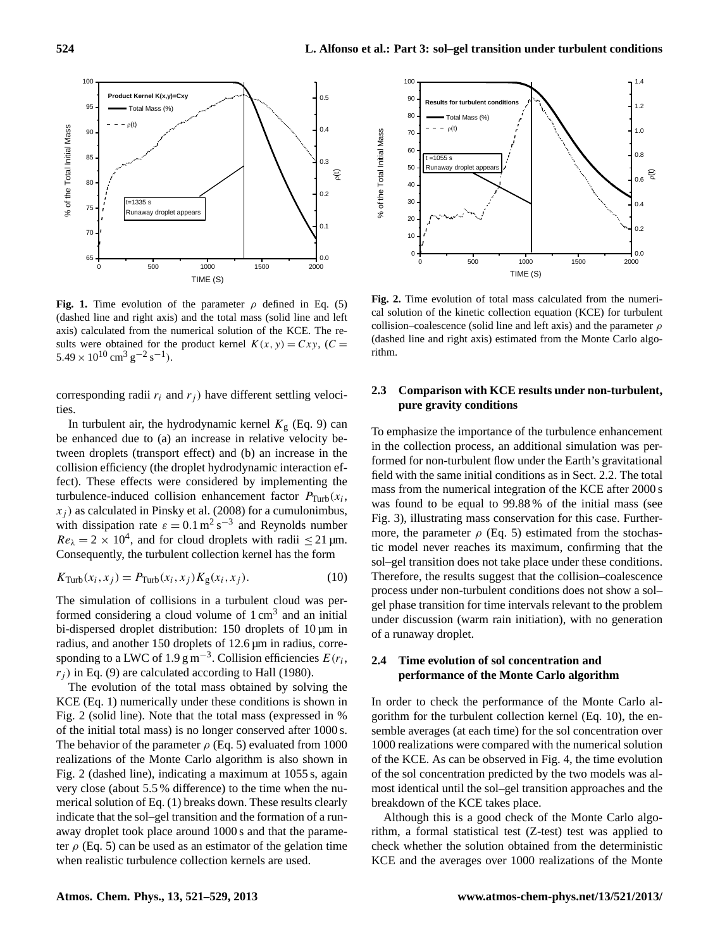

Fig. 1. Time evolution of the parameter  $\rho$  defined in Eq. (5) (dashed line and right axis) and the total mass (solid line and left axis) calculated from the numerical solution of the KCE. The results were obtained for the product kernel  $K(x, y) = Cxy$ ,  $(C =$  $5.49 \times 10^{10}$  cm<sup>3</sup> g<sup>-2</sup> s<sup>-1</sup>).

corresponding radii  $r_i$  and  $r_j$ ) have different settling velocities.

 $x_j$ ) as calculated in Pinsky et al. (2008) for a cumulonimbus, In turbulent air, the hydrodynamic kernel  $K<sub>g</sub>$  (Eq. 9) can be enhanced due to (a) an increase in relative velocity between droplets (transport effect) and (b) an increase in the collision efficiency (the droplet hydrodynamic interaction effect). These effects were considered by implementing the turbulence-induced collision enhancement factor  $P_{\text{Turb}}(x_i)$ , with dissipation rate  $\varepsilon = 0.1 \text{ m}^2 \text{ s}^{-3}$  and Reynolds number  $Re_{\lambda} = 2 \times 10^{4}$ , and for cloud droplets with radii  $\leq 21$  µm. Consequently, the turbulent collection kernel has the form

$$
K_{\text{Turb}}(x_i, x_j) = P_{\text{Turb}}(x_i, x_j) K_{\text{g}}(x_i, x_j). \tag{10}
$$

The simulation of collisions in a turbulent cloud was performed considering a cloud volume of  $1 \text{ cm}^3$  and an initial bi-dispersed droplet distribution: 150 droplets of 10  $\mu$ m in radius, and another 150 droplets of 12.6 µm in radius, corresponding to a LWC of 1.9  $\text{g m}^{-3}$ . Collision efficiencies  $E(r_i)$ ,  $r_i$ ) in Eq. (9) are calculated according to Hall (1980).

The evolution of the total mass obtained by solving the KCE (Eq. 1) numerically under these conditions is shown in Fig. 2 (solid line). Note that the total mass (expressed in % of the initial total mass) is no longer conserved after 1000 s. The behavior of the parameter  $\rho$  (Eq. 5) evaluated from 1000 realizations of the Monte Carlo algorithm is also shown in Fig. 2 (dashed line), indicating a maximum at 1055 s, again very close (about 5.5 % difference) to the time when the numerical solution of Eq. (1) breaks down. These results clearly indicate that the sol–gel transition and the formation of a runaway droplet took place around 1000 s and that the parameter  $\rho$  (Eq. 5) can be used as an estimator of the gelation time when realistic turbulence collection kernels are used.



Fig. 2. Time evolution of total mass calculated from the numerical solution of the kinetic collection equation (KCE) for turbulent collision–coalescence (solid line and left axis) and the parameter  $\rho$ (dashed line and right axis) estimated from the Monte Carlo algorithm.

# **2.3 Comparison with KCE results under non-turbulent, pure gravity conditions**

was found to be equal to 99.88% of the initial mass (see To emphasize the importance of the turbulence enhancement in the collection process, an additional simulation was performed for non-turbulent flow under the Earth's gravitational field with the same initial conditions as in Sect. 2.2. The total mass from the numerical integration of the KCE after 2000 s Fig. 3), illustrating mass conservation for this case. Furthermore, the parameter  $\rho$  (Eq. 5) estimated from the stochastic model never reaches its maximum, confirming that the sol–gel transition does not take place under these conditions. Therefore, the results suggest that the collision–coalescence process under non-turbulent conditions does not show a sol– gel phase transition for time intervals relevant to the problem under discussion (warm rain initiation), with no generation of a runaway droplet.

# **2.4 Time evolution of sol concentration and performance of the Monte Carlo algorithm**

In order to check the performance of the Monte Carlo algorithm for the turbulent collection kernel (Eq. 10), the ensemble averages (at each time) for the sol concentration over 1000 realizations were compared with the numerical solution of the KCE. As can be observed in Fig. 4, the time evolution of the sol concentration predicted by the two models was almost identical until the sol–gel transition approaches and the breakdown of the KCE takes place.

Although this is a good check of the Monte Carlo algorithm, a formal statistical test (Z-test) test was applied to check whether the solution obtained from the deterministic KCE and the averages over 1000 realizations of the Monte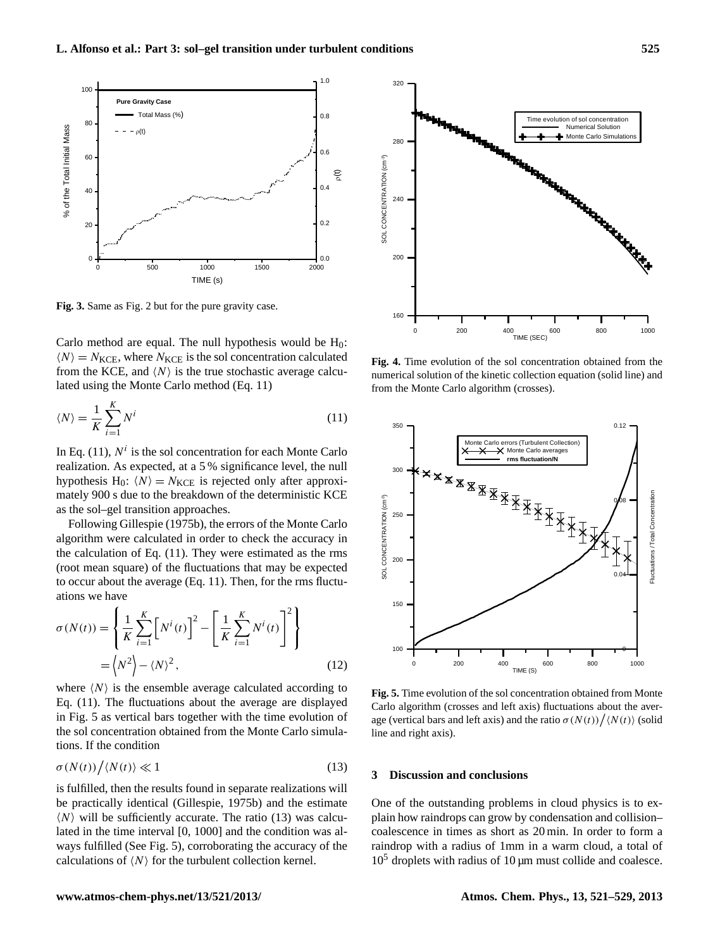

 $\mathcal{L}$  3. Same as Fig. 2 but for the pure gravity case. **Fig. 3.** Same as Fig. 2 but for the pure gravity case.

Carlo method are equal. The null hypothesis would be  $H_0$ :  $\langle N \rangle = N_{KCE}$ , where  $N_{KCE}$  is the sol concentration calculated from the KCE, and  $\langle N \rangle$  is the true stochastic average calculated using the Monte Carlo method (Eq. 11)

$$
\langle N \rangle = \frac{1}{K} \sum_{i=1}^{K} N^i \tag{11}
$$

mately 900 s due to the breakdown of the deterministic KCE In Eq. (11),  $N^i$  is the sol concentration for each Monte Carlo realization. As expected, at a 5 % significance level, the null hypothesis H<sub>0</sub>:  $\langle N \rangle = N_{KCE}$  is rejected only after approxias the sol–gel transition approaches.

Following Gillespie (1975b), the errors of the Monte Carlo algorithm were calculated in order to check the accuracy in the calculation of Eq. (11). They were estimated as the rms (root mean square) of the fluctuations that may be expected to occur about the average (Eq. 11). Then, for the rms fluctuations we have

$$
\sigma(N(t)) = \left\{ \frac{1}{K} \sum_{i=1}^{K} \left[ N^{i}(t) \right]^{2} - \left[ \frac{1}{K} \sum_{i=1}^{K} N^{i}(t) \right]^{2} \right\}
$$

$$
= \left\langle N^{2} \right\rangle - \left\langle N \right\rangle^{2}, \qquad (12)
$$

where  $\langle N \rangle$  is the ensemble average calculated according to Eq. (11). The fluctuations about the average are displayed in Fig. 5 as vertical bars together with the time evolution of the sol concentration obtained from the Monte Carlo simulations. If the condition

$$
\sigma(N(t))/\langle N(t)\rangle \ll 1\tag{13}
$$

is fulfilled, then the results found in separate realizations will be practically identical (Gillespie, 1975b) and the estimate  $\langle N \rangle$  will be sufficiently accurate. The ratio (13) was calculated in the time interval [0, 1000] and the condition was always fulfilled (See Fig. 5), corroborating the accuracy of the calculations of  $\langle N \rangle$  for the turbulent collection kernel.



Fig. 4. Time evolution of the sol concentration obtained from the numerical solution of the kinetic collection equation (solid line) and from the Monte Carlo algorithm (crosses).



Fig. 5. Time evolution of the sol concentration obtained from Monte  $\epsilon$ <sup>2</sup>,  $\epsilon$ <sup>3</sup>, and the average (vertical bars and the ratio of  $\epsilon$  and  $\epsilon$   $\epsilon$   $\epsilon$   $\epsilon$   $\epsilon$ Carlo algorithm (crosses and left axis) fluctuations about the average (vertical bars and left axis) and the ratio  $\sigma(N(t))/\langle N(t) \rangle$  (solid line and right axis).

## **3 Discussion and conclusions**

One of the outstanding problems in cloud physics is to explain how raindrops can grow by condensation and collision– coalescence in times as short as 20 min. In order to form a raindrop with a radius of 1mm in a warm cloud, a total of  $10<sup>5</sup>$  droplets with radius of 10 µm must collide and coalesce.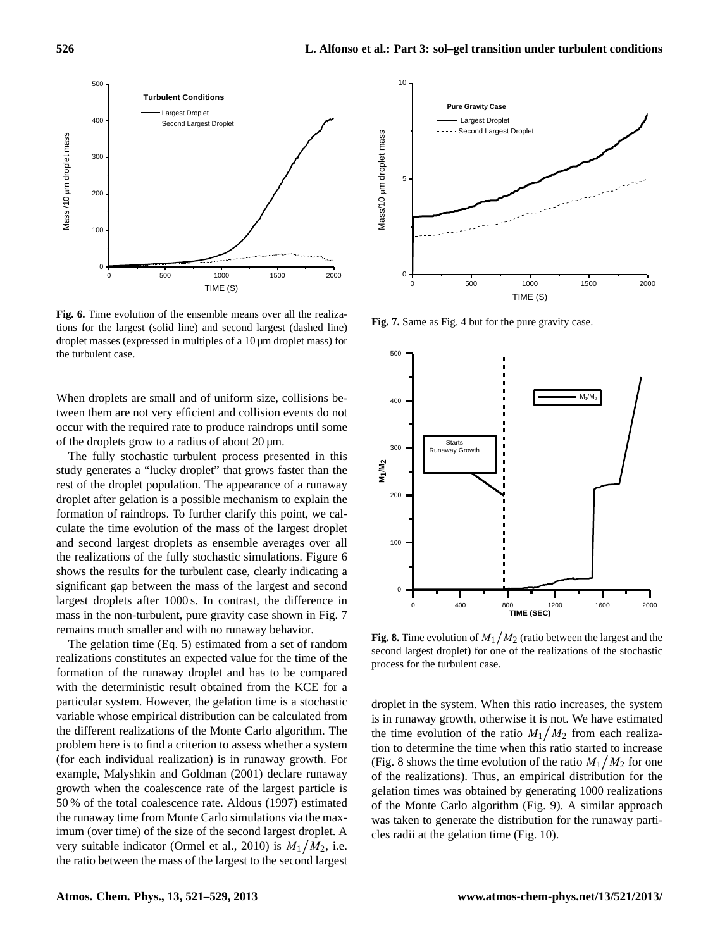

Fig. 6. Time evolution of the ensemble means over all the realizations for the largest (solid line) and second largest (dashed line) droplet masses (expressed in multiples of a 10 µm droplet mass) for the turbulent case.

When droplets are small and of uniform size, collisions between them are not very efficient and collision events do not occur with the required rate to produce raindrops until some of the droplets grow to a radius of about  $20 \mu m$ .

formation of raindrops. To further clarify this point, we cal-The fully stochastic turbulent process presented in this study generates a "lucky droplet" that grows faster than the rest of the droplet population. The appearance of a runaway droplet after gelation is a possible mechanism to explain the culate the time evolution of the mass of the largest droplet and second largest droplets as ensemble averages over all the realizations of the fully stochastic simulations. Figure 6 shows the results for the turbulent case, clearly indicating a significant gap between the mass of the largest and second largest droplets after 1000 s. In contrast, the difference in mass in the non-turbulent, pure gravity case shown in Fig. 7 remains much smaller and with no runaway behavior.

The gelation time (Eq. 5) estimated from a set of random realizations constitutes an expected value for the time of the formation of the runaway droplet and has to be compared with the deterministic result obtained from the KCE for a particular system. However, the gelation time is a stochastic variable whose empirical distribution can be calculated from the different realizations of the Monte Carlo algorithm. The problem here is to find a criterion to assess whether a system (for each individual realization) is in runaway growth. For example, Malyshkin and Goldman (2001) declare runaway growth when the coalescence rate of the largest particle is 50 % of the total coalescence rate. Aldous (1997) estimated the runaway time from Monte Carlo simulations via the maximum (over time) of the size of the second largest droplet. A very suitable indicator (Ormel et al., 2010) is  $M_1/M_2$ , i.e. the ratio between the mass of the largest to the second largest



**Fig. 7.** Same as Fig. 4 but for the pure gravity case.



Fig. 8. Time evolution of  $M_1/M_2$  (ratio between the largest and the second largest droplet) for one of the realizations of the stochastic process for the turbulent case.

of the realizations). Thus, an empirical distribution for the droplet in the system. When this ratio increases, the system is in runaway growth, otherwise it is not. We have estimated the time evolution of the ratio  $M_1/M_2$  from each realization to determine the time when this ratio started to increase (Fig. 8 shows the time evolution of the ratio  $M_1/M_2$  for one gelation times was obtained by generating 1000 realizations of the Monte Carlo algorithm (Fig. 9). A similar approach was taken to generate the distribution for the runaway particles radii at the gelation time (Fig. 10).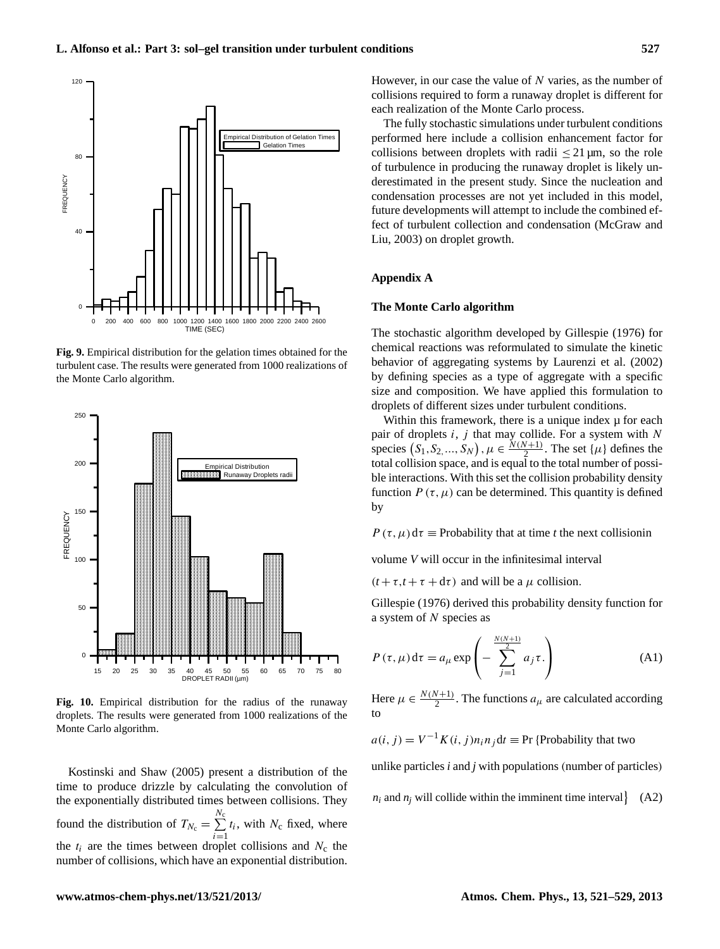

turbulent case. The results were generated from 1000 realizations of the Monte Carlo algorithm. **Fig. 9.** Empirical distribution for the gelation times obtained for the



Fig. 10. Empirical distribution for the radius of the runaway droplets. The results were generated from 1000 realizations of the Monte Carlo algorithm.

the exponentially distributed times between collisions. They Kostinski and Shaw (2005) present a distribution of the time to produce drizzle by calculating the convolution of found the distribution of  $T_{N_c} = \sum^{N_c}$  $\sum_{i=1} t_i$ , with  $N_c$  fixed, where the  $t_i$  are the times between droplet collisions and  $N_c$  the number of collisions, which have an exponential distribution.

However, in our case the value of  $N$  varies, as the number of collisions required to form a runaway droplet is different for each realization of the Monte Carlo process.

The fully stochastic simulations under turbulent conditions performed here include a collision enhancement factor for collisions between droplets with radii  $\leq 21 \,\mu$ m, so the role of turbulence in producing the runaway droplet is likely underestimated in the present study. Since the nucleation and condensation processes are not yet included in this model, future developments will attempt to include the combined effect of turbulent collection and condensation (McGraw and Liu, 2003) on droplet growth.

# **Appendix A**

### **The Monte Carlo algorithm**

The stochastic algorithm developed by Gillespie (1976) for chemical reactions was reformulated to simulate the kinetic behavior of aggregating systems by Laurenzi et al. (2002) by defining species as a type of aggregate with a specific size and composition. We have applied this formulation to droplets of different sizes under turbulent conditions.

Within this framework, there is a unique index  $\mu$  for each pair of droplets  $i$ ,  $j$  that may collide. For a system with  $N$ species  $(S_1, S_2, ..., S_N)$ ,  $\mu \in \frac{N(N+1)}{2}$ . The set  $\{\mu\}$  defines the total collision space, and is equal to the total number of possible interactions. With this set the collision probability density function  $P(\tau,\mu)$  can be determined. This quantity is defined by

 $P(\tau,\mu) d\tau \equiv$  Probability that at time *t* the next collisionin

volume *V* will occur in the infinitesimal interval

 $(t + \tau, t + \tau + d\tau)$  and will be a  $\mu$  collision.

Gillespie (1976) derived this probability density function for a system of N species as

$$
P(\tau, \mu) d\tau = a_{\mu} \exp\left(-\sum_{j=1}^{\frac{N(N+1)}{2}} a_j \tau\right)
$$
 (A1)

Here  $\mu \in \frac{N(N+1)}{2}$ . The functions  $a_{\mu}$  are calculated according to

 $a(i, j) = V^{-1} K(i, j) n_i n_j dt \equiv Pr$  {Probability that two

unlike particles *i* and *j* with populations (number of particles)

 $n_i$  and  $n_j$  will collide within the imminent time interval  $\left\{ (A2)$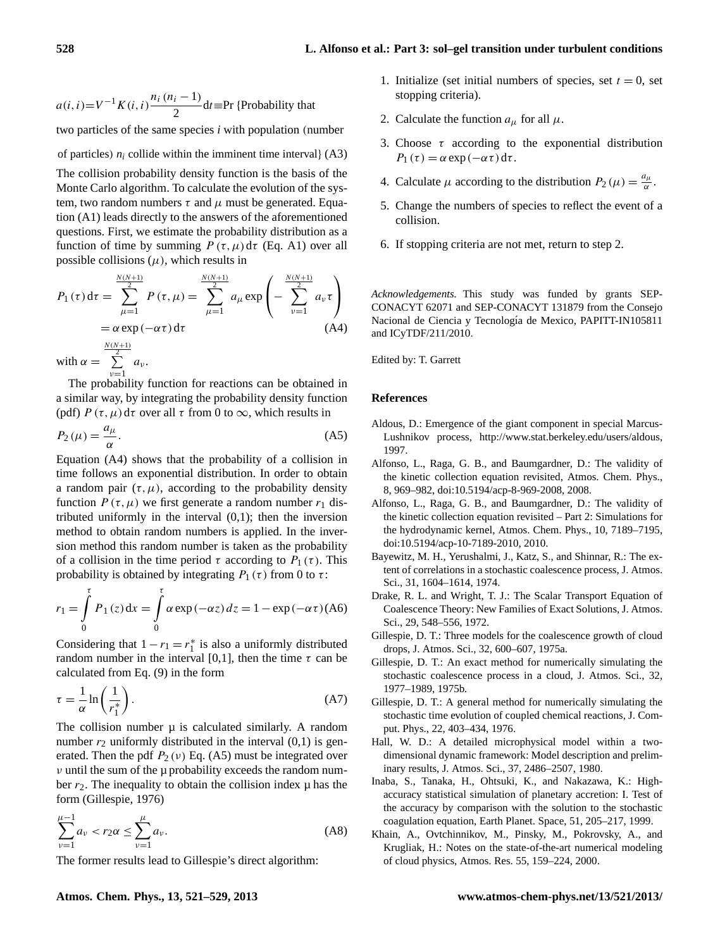$$
a(i, i)=V^{-1}K(i, i)\frac{n_i(n_i-1)}{2}dt
$$
 =Pr {Probability that

two particles of the same species *i* with population (number

of particles)  $n_i$  collide within the imminent time interval $($ A3 $)$ 

The collision probability density function is the basis of the Monte Carlo algorithm. To calculate the evolution of the system, two random numbers  $\tau$  and  $\mu$  must be generated. Equation (A1) leads directly to the answers of the aforementioned questions. First, we estimate the probability distribution as a function of time by summing  $P(\tau,\mu) d\tau$  (Eq. A1) over all possible collisions  $(\mu)$ , which results in

$$
P_1(\tau) d\tau = \sum_{\mu=1}^{\frac{N(N+1)}{2}} P(\tau, \mu) = \sum_{\mu=1}^{\frac{N(N+1)}{2}} a_{\mu} \exp\left(-\sum_{\nu=1}^{\frac{N(N+1)}{2}} a_{\nu} \tau\right)
$$
  
=  $\alpha \exp(-\alpha \tau) d\tau$  (A4)  
with  $\alpha = \sum_{\mu=1}^{\frac{N(N+1)}{2}} a_{\nu}$ .

 $\nu=1$ The probability function for reactions can be obtained in a similar way, by integrating the probability density function (pdf)  $P(\tau,\mu) d\tau$  over all  $\tau$  from 0 to  $\infty$ , which results in

$$
P_2(\mu) = \frac{a_\mu}{\alpha}.\tag{A5}
$$

Equation (A4) shows that the probability of a collision in time follows an exponential distribution. In order to obtain a random pair  $(\tau, \mu)$ , according to the probability density function  $P(\tau,\mu)$  we first generate a random number  $r_1$  distributed uniformly in the interval  $(0,1)$ ; then the inversion method to obtain random numbers is applied. In the inversion method this random number is taken as the probability of a collision in the time period  $\tau$  according to  $P_1(\tau)$ . This probability is obtained by integrating  $P_1(\tau)$  from 0 to  $\tau$ :

$$
r_1 = \int_{0}^{\tau} P_1(z) dx = \int_{0}^{\tau} \alpha \exp(-\alpha z) dz = 1 - \exp(-\alpha \tau) (A6)
$$

Considering that  $1 - r_1 = r_1^*$  is also a uniformly distributed random number in the interval [0,1], then the time  $\tau$  can be calculated from Eq. (9) in the form

$$
\tau = \frac{1}{\alpha} \ln \left( \frac{1}{r_1^*} \right). \tag{A7}
$$

The collision number  $\mu$  is calculated similarly. A random number  $r_2$  uniformly distributed in the interval  $(0,1)$  is generated. Then the pdf  $P_2(v)$  Eq. (A5) must be integrated over  $\nu$  until the sum of the  $\mu$  probability exceeds the random number  $r_2$ . The inequality to obtain the collision index  $\mu$  has the form (Gillespie, 1976)

$$
\sum_{\nu=1}^{\mu-1} a_{\nu} < r_2 \alpha \le \sum_{\nu=1}^{\mu} a_{\nu}.\tag{A8}
$$

The former results lead to Gillespie's direct algorithm:

- 1. Initialize (set initial numbers of species, set  $t = 0$ , set stopping criteria).
- 2. Calculate the function  $a_{\mu}$  for all  $\mu$ .
- 3. Choose  $\tau$  according to the exponential distribution  $P_1(\tau) = \alpha \exp(-\alpha \tau) d\tau.$
- 4. Calculate  $\mu$  according to the distribution  $P_2(\mu) = \frac{a_\mu}{\alpha}$  $\frac{i\mu}{\alpha}$ .
- 5. Change the numbers of species to reflect the event of a collision.
- 6. If stopping criteria are not met, return to step 2.

*Acknowledgements.* This study was funded by grants SEP-CONACYT 62071 and SEP-CONACYT 131879 from the Consejo Nacional de Ciencia y Tecnología de Mexico, PAPITT-IN105811 and ICyTDF/211/2010.

Edited by: T. Garrett

### **References**

- Aldous, D.: Emergence of the giant component in special Marcus-Lushnikov process, [http://www.stat.berkeley.edu/users/aldous,](http://www.stat.berkeley.edu/users/aldous) 1997.
- Alfonso, L., Raga, G. B., and Baumgardner, D.: The validity of the kinetic collection equation revisited, Atmos. Chem. Phys., 8, 969–982, [doi:10.5194/acp-8-969-2008,](http://dx.doi.org/10.5194/acp-8-969-2008) 2008.
- Alfonso, L., Raga, G. B., and Baumgardner, D.: The validity of the kinetic collection equation revisited – Part 2: Simulations for the hydrodynamic kernel, Atmos. Chem. Phys., 10, 7189–7195, [doi:10.5194/acp-10-7189-2010,](http://dx.doi.org/10.5194/acp-10-7189-2010) 2010.
- Bayewitz, M. H., Yerushalmi, J., Katz, S., and Shinnar, R.: The extent of correlations in a stochastic coalescence process, J. Atmos. Sci., 31, 1604–1614, 1974.
- Drake, R. L. and Wright, T. J.: The Scalar Transport Equation of Coalescence Theory: New Families of Exact Solutions, J. Atmos. Sci., 29, 548–556, 1972.
- Gillespie, D. T.: Three models for the coalescence growth of cloud drops, J. Atmos. Sci., 32, 600–607, 1975a.
- Gillespie, D. T.: An exact method for numerically simulating the stochastic coalescence process in a cloud, J. Atmos. Sci., 32, 1977–1989, 1975b.
- Gillespie, D. T.: A general method for numerically simulating the stochastic time evolution of coupled chemical reactions, J. Comput. Phys., 22, 403–434, 1976.
- Hall, W. D.: A detailed microphysical model within a twodimensional dynamic framework: Model description and preliminary results, J. Atmos. Sci., 37, 2486–2507, 1980.
- Inaba, S., Tanaka, H., Ohtsuki, K., and Nakazawa, K.: Highaccuracy statistical simulation of planetary accretion: I. Test of the accuracy by comparison with the solution to the stochastic coagulation equation, Earth Planet. Space, 51, 205–217, 1999.
- Khain, A., Ovtchinnikov, M., Pinsky, M., Pokrovsky, A., and Krugliak, H.: Notes on the state-of-the-art numerical modeling of cloud physics, Atmos. Res. 55, 159–224, 2000.